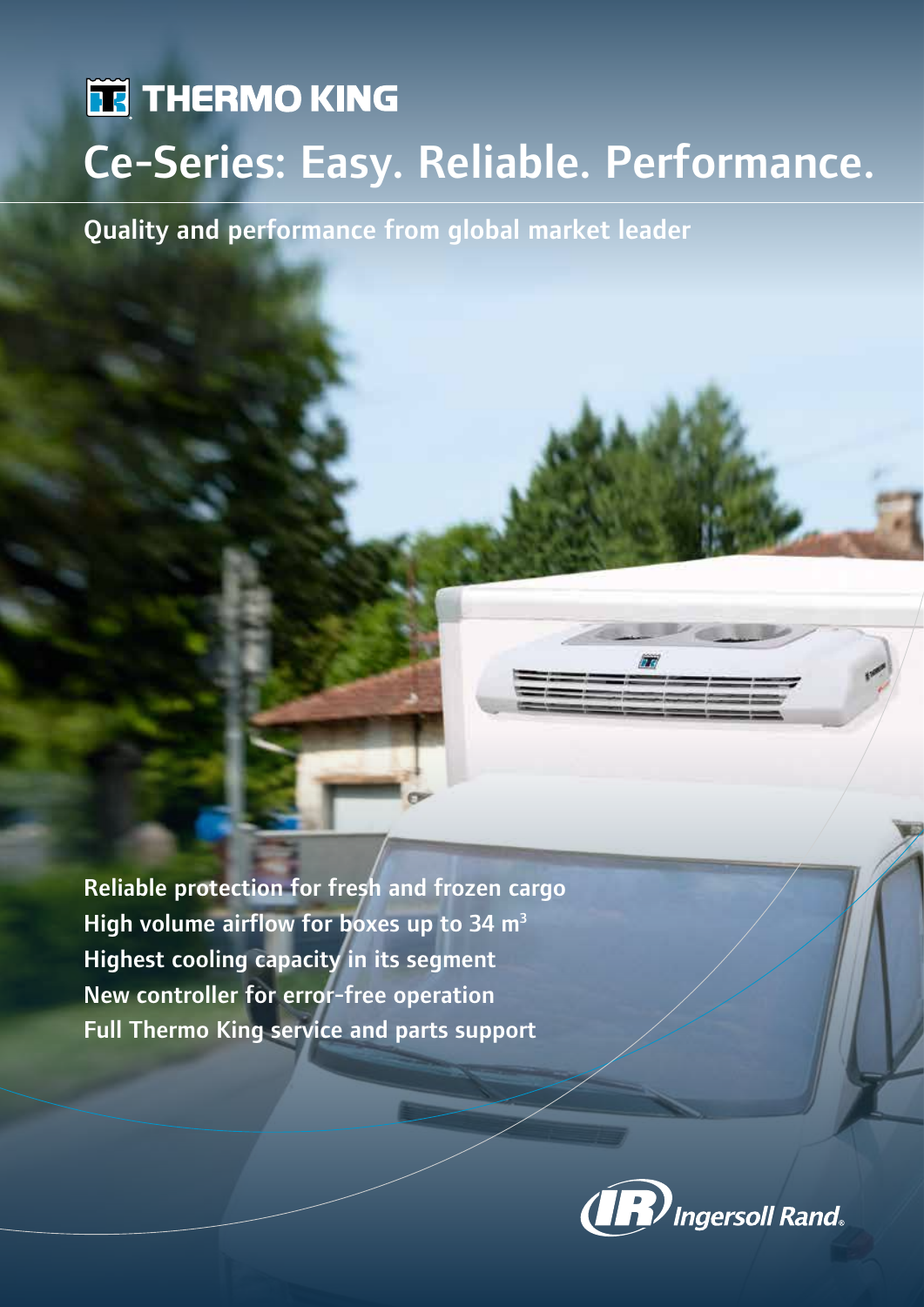# **TE THERMO KING** Ce-Series: Easy. Reliable. Performance.

Quality and performance from global market leader

Reliable protection for fresh and frozen cargo High volume airflow for boxes up to 34  $m<sup>3</sup>$ Highest cooling capacity in its segment New controller for error-free operation Full Thermo King service and parts support

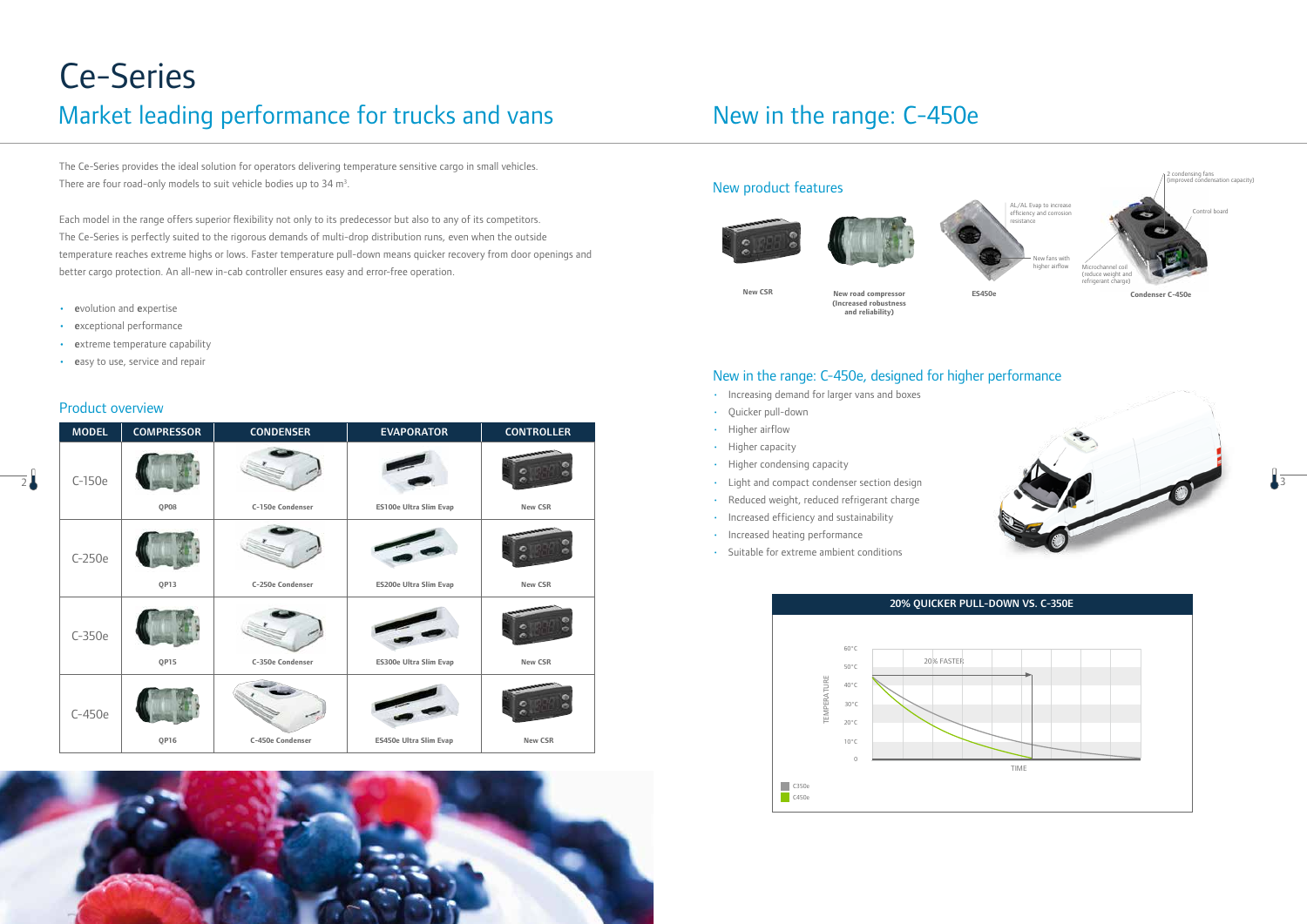# Ce-Series

## Market leading performance for trucks and vans

#### New product features







**New CSR** New road compressor

The Ce-Series provides the ideal solution for operators delivering temperature sensitive cargo in small vehicles. There are four road-only models to suit vehicle bodies up to  $34 \text{ m}^3$ .

- **(Increased robustness**  <sup>e</sup> **and reliability)** volution and expertise
- exceptional performance
- extreme temperature capability
- easy to use, service and repair

Each model in the range offers superior flexibility not only to its predecessor but also to any of its competitors. The Ce-Series is perfectly suited to the rigorous demands of multi-drop distribution runs, even when the outside temperature reaches extreme highs or lows. Faster temperature pull-down means quicker recovery from door openings and better cargo protection. An all-new in-cab controller ensures easy and error-free operation.

|               | <b>MODEL</b> | <b>COMPRESSOR</b> | <b>CONDENSER</b> | <b>EVAPORATOR</b>      | <b>CONTROLLER</b> |
|---------------|--------------|-------------------|------------------|------------------------|-------------------|
| $\frac{1}{2}$ | $C-150e$     |                   |                  |                        |                   |
|               |              | QP08              | C-150e Condenser | ES100e Ultra Slim Evap | New CSR           |
|               | C-250e       |                   |                  |                        |                   |
|               |              | QP13              | C-250e Condenser | ES200e Ultra Slim Evap | New CSR           |
|               | $C-350e$     | QP15              | C-350e Condenser | ES300e Ultra Slim Evap | New CSR           |
|               | C-450e       |                   |                  |                        |                   |
|               |              | QP16              | C-450e Condenser | ES450e Ultra Slim Evap | New CSR           |



#### New in the range: C-450e, designed for higher performance

- Increasing demand for larger vans and boxes
- Quicker pull-down
- Higher airflow
- Higher capacity
- Higher condensing capacity
- 
- Reduced weight, reduced refrigerant charge
- Increased efficiency and sustainability
- Increased heating performance
- Suitable for extreme ambient conditions

### New in the range: C-450e

#### Product overview

**ES450e**





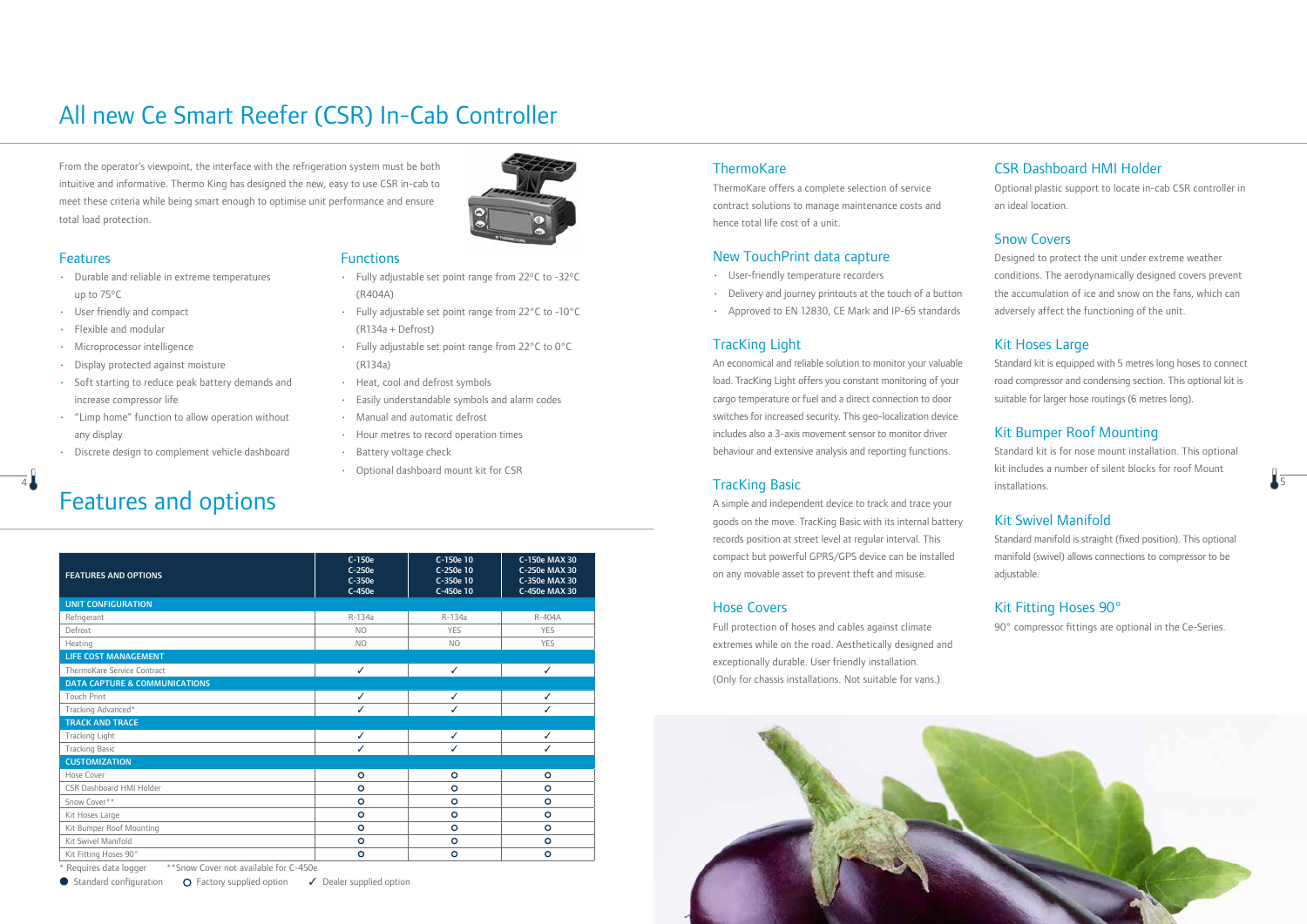From the operator's viewpoint, the interface with the refrigeration system must be both intuitive and informative. Thermo King has designed the new, easy to use CSR in-cab to meet these criteria while being smart enough to optimise unit performance and ensure total load protection.



#### **Features**

- Durable and reliable in extreme temperatures up to 75ºC
- User friendly and compact
- Flexible and modular
- Microprocessor intelligence
- Display protected against moisture
- Soft starting to reduce peak battery demands and increase compressor life
- "Limp home" function to allow operation without any display
- Discrete design to complement vehicle dashboard

|  | <b>Functions</b> |  |
|--|------------------|--|
|  |                  |  |

- Fully adjustable set point range from 22ºC to -32ºC (R404A)
- Fully adjustable set point range from 22°C to -10°C (R134a + Defrost)
- Fully adjustable set point range from 22°C to 0°C (R134a)
- Heat, cool and defrost symbols
- Easily understandable symbols and alarm codes
- Manual and automatic defrost
- Hour metres to record operation times
- Battery voltage check
- Optional dashboard mount kit for CSR

### All new Ce Smart Reefer (CSR) In-Cab Controller

## Features and options

\* Requires data logger \*\*Snow Cover not available for C-450e

● Standard configuration ● ○ Factory supplied option → Dealer supplied option

#### **ThermoKare**

| <b>FEATURES AND OPTIONS</b>              | C-150e<br>$C-250e$<br>C-350e | C-150e 10<br>C-250e 10<br>C-350e 10 | C-150e MAX 30<br>C-250e MAX 30<br>C-350e MAX 30 |  |  |
|------------------------------------------|------------------------------|-------------------------------------|-------------------------------------------------|--|--|
|                                          | C-450e                       | C-450e 10                           | C-450e MAX 30                                   |  |  |
| <b>UNIT CONFIGURATION</b>                |                              |                                     |                                                 |  |  |
| Refrigerant                              | R-134a                       | R-134a                              | R-404A                                          |  |  |
| Defrost                                  | <b>NO</b>                    | <b>YES</b>                          | <b>YES</b>                                      |  |  |
| Heating                                  | N <sub>O</sub>               | N <sub>O</sub>                      | <b>YES</b>                                      |  |  |
| <b>LIFE COST MANAGEMENT</b>              |                              |                                     |                                                 |  |  |
| ThermoKare Service Contract              | $\checkmark$                 | ✓                                   | ✓                                               |  |  |
| <b>DATA CAPTURE &amp; COMMUNICATIONS</b> |                              |                                     |                                                 |  |  |
| <b>Touch Print</b>                       | ✓                            | ✓                                   | ✓                                               |  |  |
| Tracking Advanced*                       | ✓                            | ✓                                   | ✓                                               |  |  |
| <b>TRACK AND TRACE</b>                   |                              |                                     |                                                 |  |  |
| Tracking Light                           | ✓                            | ✓                                   | ✓                                               |  |  |
| <b>Tracking Basic</b>                    | ✓                            | ✓                                   | ✓                                               |  |  |
| <b>CUSTOMIZATION</b>                     |                              |                                     |                                                 |  |  |
| Hose Cover                               | $\circ$                      | $\circ$                             | $\circ$                                         |  |  |
| CSR Dashboard HMI Holder                 | $\circ$                      | $\circ$                             | $\circ$                                         |  |  |
| Snow Cover**                             | $\circ$                      | $\circ$                             | $\circ$                                         |  |  |
| Kit Hoses Large                          | $\circ$                      | $\circ$                             | $\circ$                                         |  |  |
| Kit Bumper Roof Mounting                 | $\circ$                      | $\circ$                             | $\circ$                                         |  |  |
| Kit Swivel Manifold                      | $\circ$                      | $\circ$                             | $\circ$                                         |  |  |
| Kit Fitting Hoses 90°                    | $\circ$                      | $\circ$                             | $\circ$                                         |  |  |

 $\frac{1}{2}$  5  $\frac{1}{2}$  installations Standard kit is for nose mount installation. This optional kit includes a number of silent blocks for roof Mount installations.

ThermoKare offers a complete selection of service contract solutions to manage maintenance costs and hence total life cost of a unit.

#### New TouchPrint data capture

- User-friendly temperature recorders
- Delivery and journey printouts at the touch of a button
- Approved to EN 12830, CE Mark and IP-65 standards

#### TracKing Light

An economical and reliable solution to monitor your valuable load. TracKing Light offers you constant monitoring of your cargo temperature or fuel and a direct connection to door switches for increased security. This geo-localization device includes also a 3-axis movement sensor to monitor driver behaviour and extensive analysis and reporting functions.

#### TracKing Basic

A simple and independent device to track and trace your goods on the move. TracKing Basic with its internal battery records position at street level at regular interval. This compact but powerful GPRS/GPS device can be installed on any movable asset to prevent theft and misuse.

#### Hose Covers

Full protection of hoses and cables against climate extremes while on the road. Aesthetically designed and exceptionally durable. User friendly installation. (Only for chassis installations. Not suitable for vans.)



#### CSR Dashboard HMI Holder

Optional plastic support to locate in-cab CSR controller in an ideal location.

#### Snow Covers

Designed to protect the unit under extreme weather conditions. The aerodynamically designed covers prevent the accumulation of ice and snow on the fans, which can adversely affect the functioning of the unit.

#### Kit Hoses Large

Standard kit is equipped with 5 metres long hoses to connect road compressor and condensing section. This optional kit is suitable for larger hose routings (6 metres long).

#### Kit Bumper Roof Mounting

#### Kit Swivel Manifold

Standard manifold is straight (fixed position). This optional manifold (swivel) allows connections to compressor to be adjustable.

#### Kit Fitting Hoses 90°

90° compressor fittings are optional in the Ce-Series.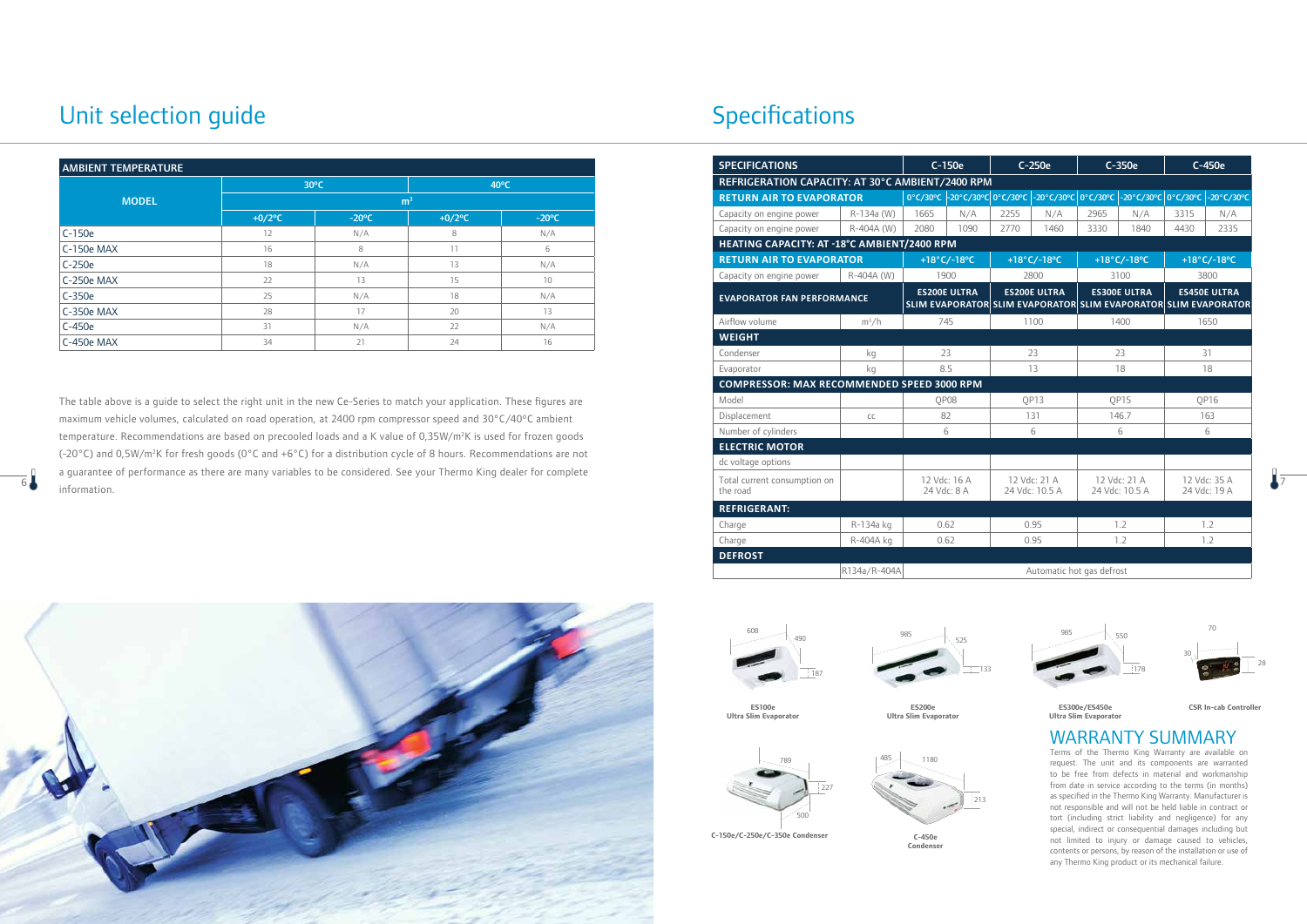

### WARRANTY SUMMARY

Terms of the Thermo King Warranty are available on request. The unit and its components are warranted to be free from defects in material and workmanship from date in service according to the terms (in months) as specified in the Thermo King Warranty. Manufacturer is not responsible and will not be held liable in contract or tort (including strict liability and negligence) for any special, indirect or consequential damages including but not limited to injury or damage caused to vehicles, contents or persons, by reason of the installation or use of any Thermo King product or its mechanical failure.

**C-150e/C-250e/C-350e Condenser**





**ES300e/ES450e Ultra Slim Evaporator**



**C-450e Condenser**

**ES100e Ultra Slim Evaporator**



**ES200e Ultra Slim Evaporator**

### Unit selection guide



**CSR In-cab Controller**

| <b>AMBIENT TEMPERATURE</b>                                                                                                        |                       |                 |                       |                 | <b>SPECIFICATIONS</b>                             |                                 | C-150e                                                                                 | C-250e                         |                                                                                 | $C-350e$                       |                     | C-450e                          |  |  |
|-----------------------------------------------------------------------------------------------------------------------------------|-----------------------|-----------------|-----------------------|-----------------|---------------------------------------------------|---------------------------------|----------------------------------------------------------------------------------------|--------------------------------|---------------------------------------------------------------------------------|--------------------------------|---------------------|---------------------------------|--|--|
| $30^{\circ}$ C<br>$40^{\circ}$ C                                                                                                  |                       |                 |                       |                 |                                                   |                                 | REFRIGERATION CAPACITY: AT 30°C AMBIENT/2400 RPM                                       |                                |                                                                                 |                                |                     |                                 |  |  |
| <b>MODEL</b>                                                                                                                      |                       | m <sup>3</sup>  |                       |                 |                                                   | <b>RETURN AIR TO EVAPORATOR</b> |                                                                                        |                                | 0°C/30°C -20°C/30°C 0°C/30°C -20°C/30°C 0°C/30°C -20°C/30°C 0°C/30°C -20°C/30°C |                                |                     |                                 |  |  |
|                                                                                                                                   | $+0/2$ <sup>o</sup> C | $-20^{\circ}$ C | $+0/2$ <sup>o</sup> C | $-20^{\circ}$ C | Capacity on engine power                          | R-134a (W)                      | 1665<br>N/A                                                                            | 2255<br>N/A                    | 2965                                                                            | N/A                            | 3315                | N/A                             |  |  |
| $C-150e$                                                                                                                          | 12                    | N/A             | 8                     | N/A             | Capacity on engine power                          | R-404A (W)                      | 2080<br>1090                                                                           | 2770<br>1460                   | 3330                                                                            | 1840                           | 4430                | 2335                            |  |  |
| C-150e MAX                                                                                                                        | 16                    | 8               | 11                    |                 | HEATING CAPACITY: AT -18°C AMBIENT/2400 RPM       |                                 |                                                                                        |                                |                                                                                 |                                |                     |                                 |  |  |
| $C-250e$                                                                                                                          | 18                    | N/A             | 13                    | N/A             | <b>RETURN AIR TO EVAPORATOR</b>                   |                                 | $+18^{\circ}$ C/-18 $^{\circ}$ C                                                       | +18°C/-18°C                    |                                                                                 | +18°C/-18°C                    |                     | +18 $\degree$ C/-18 $\degree$ C |  |  |
| C-250e MAX                                                                                                                        | 22                    | 13              | 15                    | 10 <sup>°</sup> | Capacity on engine power                          | R-404A (W)                      | 1900                                                                                   | 2800                           | 3100                                                                            |                                | 3800                |                                 |  |  |
| $C-350e$                                                                                                                          | 25                    | N/A             | 18                    | N/A             | <b>EVAPORATOR FAN PERFORMANCE</b>                 |                                 | <b>ES200E ULTRA</b><br>SLIM EVAPORATOR SLIM EVAPORATOR SLIM EVAPORATOR SLIM EVAPORATOR | <b>ES200E ULTRA</b>            |                                                                                 | <b>ES300E ULTRA</b>            | <b>ES450E ULTRA</b> |                                 |  |  |
| C-350e MAX                                                                                                                        | 28                    | 17              | 20                    | 13              | Airflow volume                                    | $m^3/h$                         | 745                                                                                    | 1100                           |                                                                                 | 1400                           |                     | 1650                            |  |  |
| $C-450e$                                                                                                                          | 31                    | N/A             | 22                    | N/A             | <b>WEIGHT</b>                                     |                                 |                                                                                        |                                |                                                                                 |                                |                     |                                 |  |  |
| C-450e MAX                                                                                                                        | 34                    | 21              | 24                    | 16              | Condenser                                         | kg                              | 23                                                                                     | 23                             |                                                                                 | 23                             |                     | 31                              |  |  |
|                                                                                                                                   |                       |                 |                       |                 | Evaporator                                        | kq                              | 8.5                                                                                    | 13                             |                                                                                 | 18                             |                     | 18                              |  |  |
|                                                                                                                                   |                       |                 |                       |                 | <b>COMPRESSOR: MAX RECOMMENDED SPEED 3000 RPM</b> |                                 |                                                                                        |                                |                                                                                 |                                |                     |                                 |  |  |
| The table above is a quide to select the right unit in the new Ce-Series to match your application. These figures are             |                       |                 |                       |                 | Model                                             |                                 | QP08                                                                                   | QP13                           |                                                                                 | QP15                           |                     | QP16                            |  |  |
| maximum vehicle volumes, calculated on road operation, at 2400 rpm compressor speed and 30°C/40°C ambient                         |                       |                 |                       |                 | Displacement                                      | CC                              | 82                                                                                     | 131                            |                                                                                 | 146.7                          |                     | 163                             |  |  |
| temperature. Recommendations are based on precooled loads and a K value of 0,35W/m <sup>2</sup> K is used for frozen goods        |                       |                 |                       |                 | Number of cylinders                               |                                 | 6                                                                                      | 6                              |                                                                                 | $6 \overline{6}$               |                     | 6                               |  |  |
|                                                                                                                                   | <b>ELECTRIC MOTOR</b> |                 |                       |                 |                                                   |                                 |                                                                                        |                                |                                                                                 |                                |                     |                                 |  |  |
| (-20°C) and 0,5W/m <sup>2</sup> K for fresh goods (0°C and +6°C) for a distribution cycle of 8 hours. Recommendations are not     | dc voltage options    |                 |                       |                 |                                                   |                                 |                                                                                        |                                |                                                                                 |                                |                     |                                 |  |  |
| a guarantee of performance as there are many variables to be considered. See your Thermo King dealer for complete<br>information. |                       |                 |                       |                 | Total current consumption on<br>the road          |                                 | 12 Vdc: 16 A<br>24 Vdc: 8 A                                                            | 12 Vdc: 21 A<br>24 Vdc: 10.5 A |                                                                                 | 12 Vdc: 21 A<br>24 Vdc: 10.5 A | 24 Vdc: 19 A        | 12 Vdc: 35 A                    |  |  |
|                                                                                                                                   |                       |                 |                       |                 | <b>REFRIGERANT:</b>                               |                                 |                                                                                        |                                |                                                                                 |                                |                     |                                 |  |  |
|                                                                                                                                   |                       |                 |                       |                 | Charge                                            | R-134a kg                       | 0.62                                                                                   | 0.95                           |                                                                                 | 1.2                            |                     | 1.2                             |  |  |
|                                                                                                                                   |                       |                 |                       |                 | Charge                                            | R-404A kg                       | 0.62                                                                                   | 0.95                           |                                                                                 | 1.2                            |                     | 1.2                             |  |  |
|                                                                                                                                   |                       |                 |                       |                 | <b>DEFROST</b>                                    |                                 |                                                                                        |                                |                                                                                 |                                |                     |                                 |  |  |
|                                                                                                                                   |                       |                 |                       |                 |                                                   | R134a/R-404A                    |                                                                                        |                                | Automatic hot gas defrost                                                       |                                |                     |                                 |  |  |





| <b>AMBIENT TEMPERATURE</b> |                       |                 |                       |                 |  |  |  |  |  |
|----------------------------|-----------------------|-----------------|-----------------------|-----------------|--|--|--|--|--|
|                            |                       | $30^{\circ}$ C  | $40^{\circ}$ C        |                 |  |  |  |  |  |
| <b>MODEL</b>               |                       | m <sup>3</sup>  |                       |                 |  |  |  |  |  |
|                            | $+0/2$ <sup>o</sup> C | $-20^{\circ}$ C | $+0/2$ <sup>o</sup> C | $-20^{\circ}$ C |  |  |  |  |  |
| C-150e                     | 12                    | N/A             | 8                     | N/A             |  |  |  |  |  |
| C-150e MAX                 | 16                    | 8               | 11                    | 6               |  |  |  |  |  |
| $C-250e$                   | 18                    | N/A             | 13                    | N/A             |  |  |  |  |  |
| C-250e MAX                 | 22                    | 13              | 15                    | 10              |  |  |  |  |  |
| C-350e                     | 25                    | N/A             | 18                    | N/A             |  |  |  |  |  |
| C-350e MAX                 | 28                    | 17              | 20                    | 13              |  |  |  |  |  |
| C-450e                     | 31                    | N/A             | 22                    | N/A             |  |  |  |  |  |
| C-450e MAX                 | 34                    | 21              | 24                    | 16              |  |  |  |  |  |